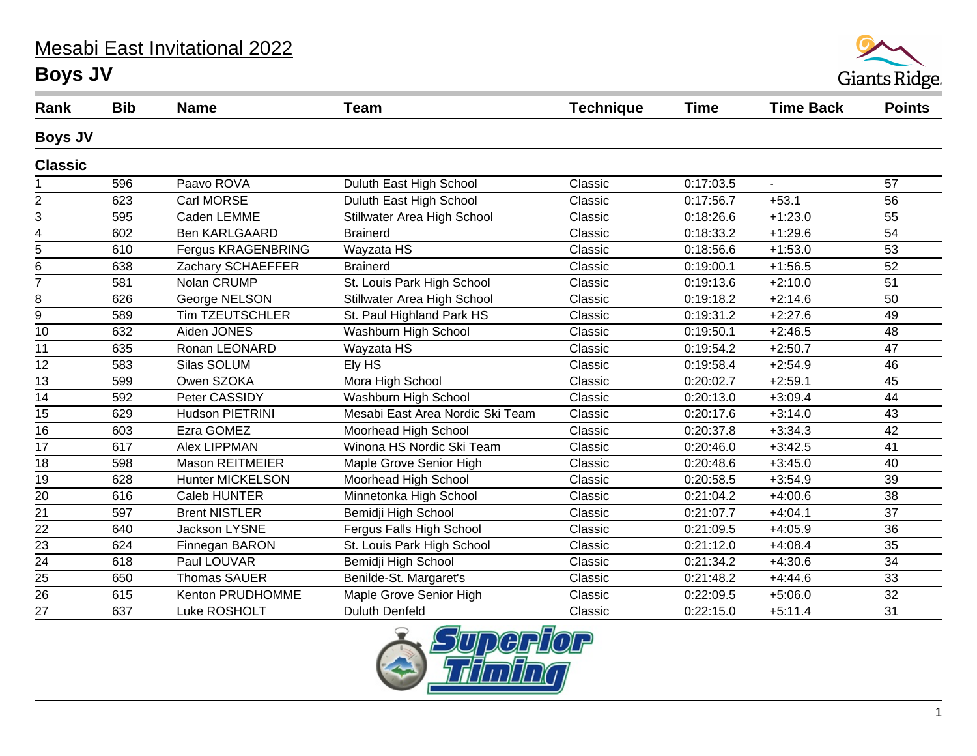## Mesabi East Invitational 2022





| Rank            | <b>Bib</b> | <b>Name</b>             | <b>Team</b>                      | <b>Technique</b> | <b>Time</b> | <b>Time Back</b> | <b>Points</b> |
|-----------------|------------|-------------------------|----------------------------------|------------------|-------------|------------------|---------------|
| <b>Boys JV</b>  |            |                         |                                  |                  |             |                  |               |
| <b>Classic</b>  |            |                         |                                  |                  |             |                  |               |
|                 | 596        | Paavo ROVA              | Duluth East High School          | Classic          | 0:17:03.5   | $\blacksquare$   | 57            |
| $\overline{c}$  | 623        | Carl MORSE              | Duluth East High School          | Classic          | 0:17:56.7   | $+53.1$          | 56            |
| 3               | 595        | Caden LEMME             | Stillwater Area High School      | Classic          | 0:18:26.6   | $+1:23.0$        | 55            |
| $\overline{4}$  | 602        | <b>Ben KARLGAARD</b>    | <b>Brainerd</b>                  | Classic          | 0:18:33.2   | $+1:29.6$        | 54            |
| 5               | 610        | Fergus KRAGENBRING      | Wayzata HS                       | Classic          | 0:18:56.6   | $+1:53.0$        | 53            |
| 6               | 638        | Zachary SCHAEFFER       | <b>Brainerd</b>                  | Classic          | 0:19:00.1   | $+1:56.5$        | 52            |
| $\overline{7}$  | 581        | Nolan CRUMP             | St. Louis Park High School       | Classic          | 0:19:13.6   | $+2:10.0$        | 51            |
| 8               | 626        | George NELSON           | Stillwater Area High School      | Classic          | 0:19:18.2   | $+2:14.6$        | 50            |
| 9               | 589        | <b>Tim TZEUTSCHLER</b>  | St. Paul Highland Park HS        | Classic          | 0:19:31.2   | $+2:27.6$        | 49            |
| $\overline{10}$ | 632        | Aiden JONES             | Washburn High School             | Classic          | 0:19:50.1   | $+2:46.5$        | 48            |
| 11              | 635        | Ronan LEONARD           | Wayzata HS                       | Classic          | 0:19:54.2   | $+2:50.7$        | 47            |
| 12              | 583        | Silas SOLUM             | Ely HS                           | Classic          | 0:19:58.4   | $+2:54.9$        | 46            |
| 13              | 599        | Owen SZOKA              | Mora High School                 | Classic          | 0:20:02.7   | $+2:59.1$        | 45            |
| 14              | 592        | Peter CASSIDY           | Washburn High School             | Classic          | 0:20:13.0   | $+3:09.4$        | 44            |
| 15              | 629        | Hudson PIETRINI         | Mesabi East Area Nordic Ski Team | Classic          | 0:20:17.6   | $+3:14.0$        | 43            |
| $\overline{16}$ | 603        | Ezra GOMEZ              | Moorhead High School             | Classic          | 0:20:37.8   | $+3:34.3$        | 42            |
| 17              | 617        | Alex LIPPMAN            | Winona HS Nordic Ski Team        | Classic          | 0:20:46.0   | $+3:42.5$        | 41            |
| 18              | 598        | <b>Mason REITMEIER</b>  | Maple Grove Senior High          | Classic          | 0:20:48.6   | $+3:45.0$        | 40            |
| $\overline{19}$ | 628        | <b>Hunter MICKELSON</b> | Moorhead High School             | Classic          | 0:20:58.5   | $+3:54.9$        | 39            |
| 20              | 616        | Caleb HUNTER            | Minnetonka High School           | Classic          | 0:21:04.2   | $+4:00.6$        | 38            |
| 21              | 597        | <b>Brent NISTLER</b>    | Bemidji High School              | Classic          | 0:21:07.7   | $+4:04.1$        | 37            |
| 22              | 640        | Jackson LYSNE           | Fergus Falls High School         | Classic          | 0:21:09.5   | $+4:05.9$        | 36            |
| $\overline{23}$ | 624        | Finnegan BARON          | St. Louis Park High School       | Classic          | 0:21:12.0   | $+4:08.4$        | 35            |
| $\overline{24}$ | 618        | Paul LOUVAR             | Bemidji High School              | Classic          | 0:21:34.2   | $+4:30.6$        | 34            |
| 25              | 650        | <b>Thomas SAUER</b>     | Benilde-St. Margaret's           | Classic          | 0:21:48.2   | $+4:44.6$        | 33            |
| $\overline{26}$ | 615        | Kenton PRUDHOMME        | Maple Grove Senior High          | Classic          | 0:22:09.5   | $+5:06.0$        | 32            |
| 27              | 637        | Luke ROSHOLT            | <b>Duluth Denfeld</b>            | Classic          | 0:22:15.0   | $+5:11.4$        | 31            |

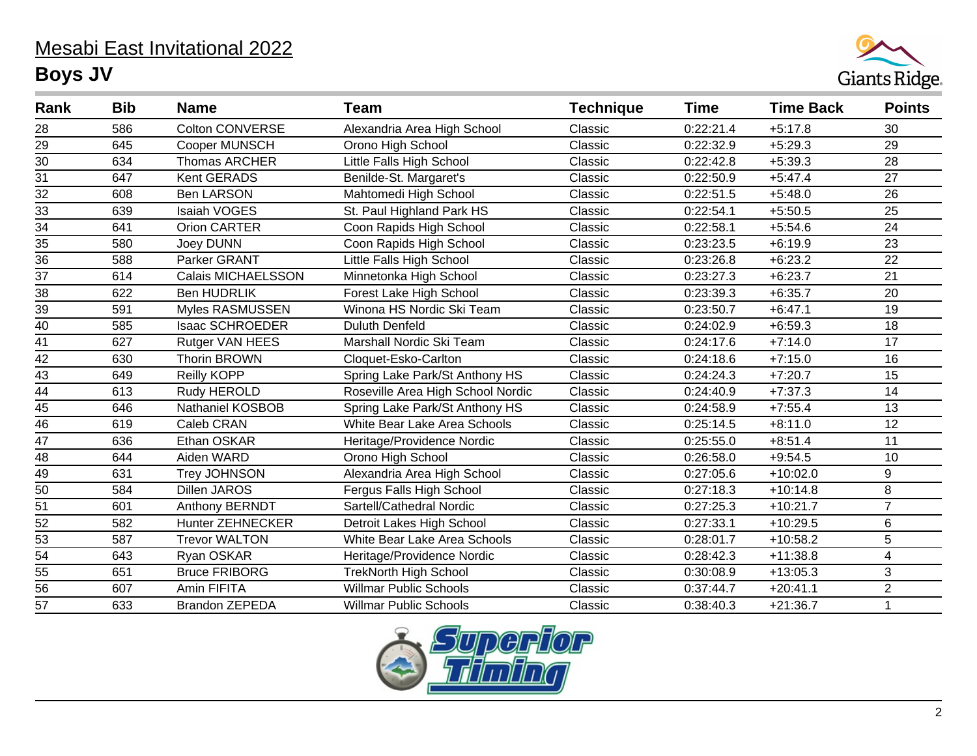## Mesabi East Invitational 2022 **Boys JV**



| Rank            | <b>Bib</b> | <b>Name</b>               | <b>Team</b>                       | <b>Technique</b>                  | <b>Time</b> | <b>Time Back</b> | <b>Points</b>           |
|-----------------|------------|---------------------------|-----------------------------------|-----------------------------------|-------------|------------------|-------------------------|
| 28              | 586        | <b>Colton CONVERSE</b>    | Alexandria Area High School       | 0:22:21.4<br>Classic              |             | $+5:17.8$        | 30                      |
| 29              | 645        | <b>Cooper MUNSCH</b>      | Orono High School                 | 0:22:32.9<br>$+5:29.3$<br>Classic |             |                  | 29                      |
| $\overline{30}$ | 634        | <b>Thomas ARCHER</b>      | Little Falls High School          | Classic                           | 0:22:42.8   | $+5:39.3$        | 28                      |
| $\overline{31}$ | 647        | Kent GERADS               | Benilde-St. Margaret's            | Classic                           | 0:22:50.9   | $+5:47.4$        | 27                      |
| $\overline{32}$ | 608        | <b>Ben LARSON</b>         | Mahtomedi High School             | Classic                           | 0:22:51.5   | $+5:48.0$        | 26                      |
| $\overline{33}$ | 639        | Isaiah VOGES              | St. Paul Highland Park HS         | Classic                           | 0:22:54.1   | $+5:50.5$        | 25                      |
| $\overline{34}$ | 641        | Orion CARTER              | Coon Rapids High School           | Classic                           | 0:22:58.1   | $+5:54.6$        | 24                      |
| 35              | 580        | Joey DUNN                 | Coon Rapids High School           | Classic                           | 0:23:23.5   | $+6:19.9$        | 23                      |
| $\overline{36}$ | 588        | Parker GRANT              | Little Falls High School          | Classic                           | 0:23:26.8   | $+6:23.2$        | 22                      |
| 37              | 614        | <b>Calais MICHAELSSON</b> | Minnetonka High School            | Classic                           | 0:23:27.3   | $+6:23.7$        | 21                      |
| $\overline{38}$ | 622        | <b>Ben HUDRLIK</b>        | Forest Lake High School           | Classic                           | 0:23:39.3   | $+6:35.7$        | 20                      |
| 39              | 591        | Myles RASMUSSEN           | Winona HS Nordic Ski Team         | Classic                           | 0:23:50.7   | $+6:47.1$        | 19                      |
| $\overline{40}$ | 585        | <b>Isaac SCHROEDER</b>    | <b>Duluth Denfeld</b>             | Classic                           | 0:24:02.9   | $+6:59.3$        | 18                      |
| 41              | 627        | Rutger VAN HEES           | Marshall Nordic Ski Team          | Classic                           | 0:24:17.6   | $+7:14.0$        | 17                      |
| $\overline{42}$ | 630        | <b>Thorin BROWN</b>       | Cloquet-Esko-Carlton              | Classic                           | 0:24:18.6   | $+7:15.0$        | 16                      |
| 43              | 649        | Reilly KOPP               | Spring Lake Park/St Anthony HS    | Classic                           | 0:24:24.3   | $+7:20.7$        | 15                      |
| $\overline{44}$ | 613        | Rudy HEROLD               | Roseville Area High School Nordic | Classic                           | 0:24:40.9   | $+7:37.3$        | 14                      |
|                 | 646        | <b>Nathaniel KOSBOB</b>   | Spring Lake Park/St Anthony HS    | Classic                           | 0:24:58.9   | $+7:55.4$        | 13                      |
| $\frac{45}{46}$ | 619        | Caleb CRAN                | White Bear Lake Area Schools      | Classic                           | 0:25:14.5   | $+8:11.0$        | 12                      |
| 47              | 636        | Ethan OSKAR               | Heritage/Providence Nordic        | Classic                           | 0:25:55.0   | $+8:51.4$        | 11                      |
| $\overline{48}$ | 644        | Aiden WARD                | Orono High School                 | Classic                           | 0:26:58.0   | $+9:54.5$        | 10                      |
| 49              | 631        | <b>Trey JOHNSON</b>       | Alexandria Area High School       | Classic                           | 0:27:05.6   | $+10:02.0$       | 9                       |
| $\overline{50}$ | 584        | <b>Dillen JAROS</b>       | Fergus Falls High School          | Classic                           | 0:27:18.3   | $+10:14.8$       | $\overline{8}$          |
| 51              | 601        | Anthony BERNDT            | Sartell/Cathedral Nordic          | Classic                           | 0:27:25.3   | $+10:21.7$       | $\overline{7}$          |
| $\overline{52}$ | 582        | <b>Hunter ZEHNECKER</b>   | Detroit Lakes High School         | Classic                           | 0:27:33.1   | $+10:29.5$       | $\,6$                   |
| 53              | 587        | <b>Trevor WALTON</b>      | White Bear Lake Area Schools      | Classic                           | 0:28:01.7   | $+10:58.2$       | 5                       |
| $\overline{54}$ | 643        | Ryan OSKAR                | Heritage/Providence Nordic        | Classic                           | 0:28:42.3   | $+11:38.8$       | $\overline{\mathbf{4}}$ |
| 55              | 651        | <b>Bruce FRIBORG</b>      | <b>TrekNorth High School</b>      | Classic                           | 0:30:08.9   | $+13:05.3$       | $\mathbf{3}$            |
| $\overline{56}$ | 607        | Amin FIFITA               | <b>Willmar Public Schools</b>     | Classic                           | 0:37:44.7   | $+20:41.1$       | $\overline{2}$          |
| 57              | 633        | <b>Brandon ZEPEDA</b>     | <b>Willmar Public Schools</b>     | Classic                           | 0:38:40.3   | $+21:36.7$       | $\mathbf{1}$            |